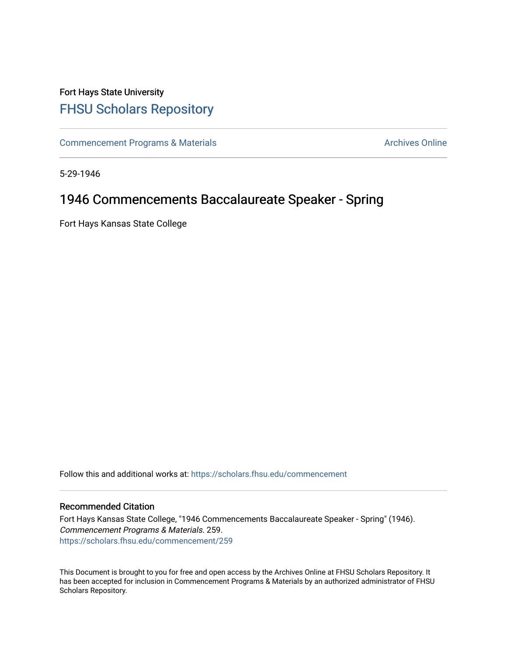## Fort Hays State University [FHSU Scholars Repository](https://scholars.fhsu.edu/)

[Commencement Programs & Materials](https://scholars.fhsu.edu/commencement) **Archives Online** Archives Online

5-29-1946

## 1946 Commencements Baccalaureate Speaker - Spring

Fort Hays Kansas State College

Follow this and additional works at: [https://scholars.fhsu.edu/commencement](https://scholars.fhsu.edu/commencement?utm_source=scholars.fhsu.edu%2Fcommencement%2F259&utm_medium=PDF&utm_campaign=PDFCoverPages)

## Recommended Citation

Fort Hays Kansas State College, "1946 Commencements Baccalaureate Speaker - Spring" (1946). Commencement Programs & Materials. 259. [https://scholars.fhsu.edu/commencement/259](https://scholars.fhsu.edu/commencement/259?utm_source=scholars.fhsu.edu%2Fcommencement%2F259&utm_medium=PDF&utm_campaign=PDFCoverPages)

This Document is brought to you for free and open access by the Archives Online at FHSU Scholars Repository. It has been accepted for inclusion in Commencement Programs & Materials by an authorized administrator of FHSU Scholars Repository.